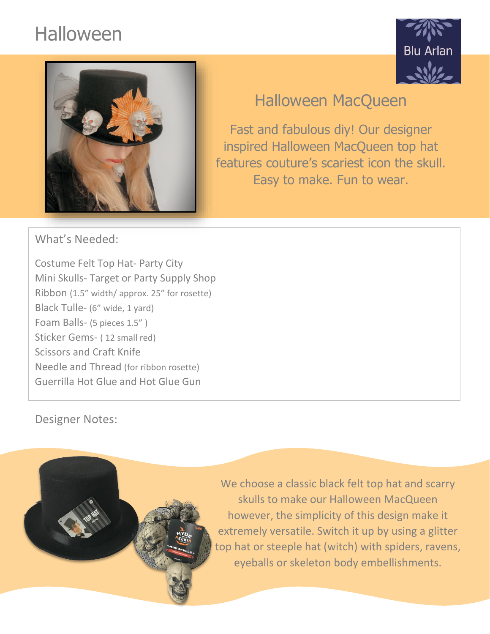# Halloween





## Halloween MacQueen

Fast and fabulous diy! Our designer inspired Halloween MacQueen top hat features couture's scariest icon the skull. Easy to make. Fun to wear.

What's Needed:

Costume Felt Top Hat- Party City Mini Skulls- Target or Party Supply Shop Ribbon (1.5" width/ approx. 25" for rosette) Black Tulle- (6" wide, 1 yard) Foam Balls- (5 pieces 1.5" ) Sticker Gems- ( 12 small red) Scissors and Craft Knife Needle and Thread (for ribbon rosette) Guerrilla Hot Glue and Hot Glue Gun

Designer Notes:

We choose a classic black felt top hat and scarry skulls to make our Halloween MacQueen however, the simplicity of this design make it extremely versatile. Switch it up by using a glitter top hat or steeple hat (witch) with spiders, ravens, eyeballs or skeleton body embellishments.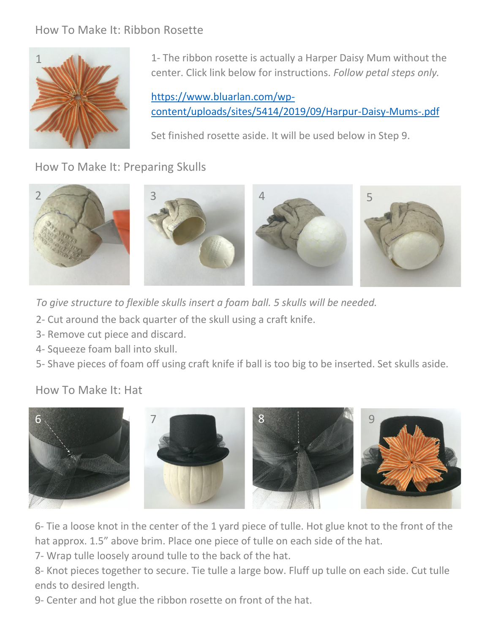#### How To Make It: Ribbon Rosette



1- The ribbon rosette is actually a Harper Daisy Mum without the center. Click link below for instructions. *Follow petal steps only.*

[https://www.bluarlan.com/wp](https://www.bluarlan.com/wp-content/uploads/sites/5414/2019/09/Harpur-Daisy-Mums-.pdf)[content/uploads/sites/5414/2019/09/Harpur-Daisy-Mums-.pdf](https://www.bluarlan.com/wp-content/uploads/sites/5414/2019/09/Harpur-Daisy-Mums-.pdf)

Set finished rosette aside. It will be used below in Step 9.

How To Make It: Preparing Skulls



*To give structure to flexible skulls insert a foam ball. 5 skulls will be needed.*

- 2- Cut around the back quarter of the skull using a craft knife.
- 3- Remove cut piece and discard.
- 4- Squeeze foam ball into skull.
- 5- Shave pieces of foam off using craft knife if ball is too big to be inserted. Set skulls aside.

#### How To Make It: Hat



6- Tie a loose knot in the center of the 1 yard piece of tulle. Hot glue knot to the front of the hat approx. 1.5" above brim. Place one piece of tulle on each side of the hat.

7- Wrap tulle loosely around tulle to the back of the hat.

8- Knot pieces together to secure. Tie tulle a large bow. Fluff up tulle on each side. Cut tulle ends to desired length.

9- Center and hot glue the ribbon rosette on front of the hat.